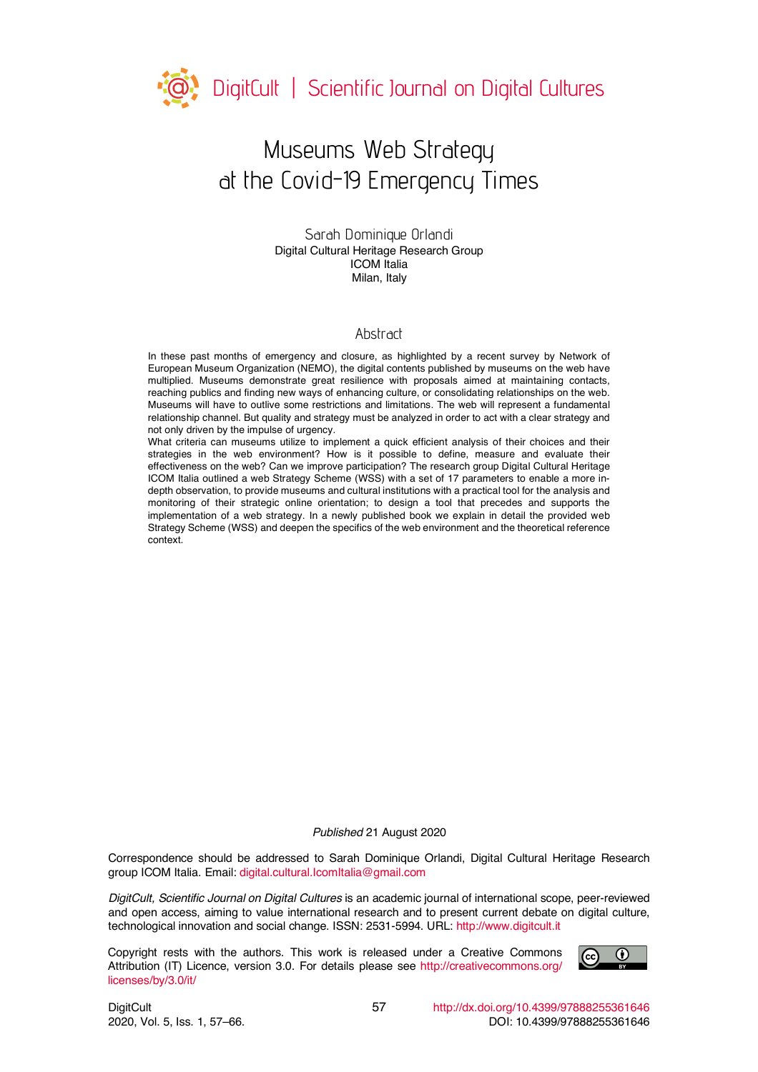

# Museums Web Strategy at the Covid-19 Emergency Times

Sarah Dominique Orlandi Digital Cultural Heritage Research Group ICOM Italia Milan, Italy

#### Abstract

In these past months of emergency and closure, as highlighted by a recent survey by Network of European Museum Organization (NEMO), the digital contents published by museums on the web have multiplied. Museums demonstrate great resilience with proposals aimed at maintaining contacts, reaching publics and finding new ways of enhancing culture, or consolidating relationships on the web. Museums will have to outlive some restrictions and limitations. The web will represent a fundamental relationship channel. But quality and strategy must be analyzed in order to act with a clear strategy and not only driven by the impulse of urgency.

What criteria can museums utilize to implement a quick efficient analysis of their choices and their strategies in the web environment? How is it possible to define, measure and evaluate their effectiveness on the web? Can we improve participation? The research group Digital Cultural Heritage ICOM Italia outlined a web Strategy Scheme (WSS) with a set of 17 parameters to enable a more indepth observation, to provide museums and cultural institutions with a practical tool for the analysis and monitoring of their strategic online orientation; to design a tool that precedes and supports the implementation of a web strategy. In a newly published book we explain in detail the provided web Strategy Scheme (WSS) and deepen the specifics of the web environment and the theoretical reference context.

#### *Published* 21 August 2020

Correspondence should be addressed to Sarah Dominique Orlandi, Digital Cultural Heritage Research group ICOM Italia. Email: digital.cultural.IcomItalia@gmail.com

*DigitCult, Scientific Journal on Digital Cultures* is an academic journal of international scope, peer-reviewed and open access, aiming to value international research and to present current debate on digital culture, technological innovation and social change. ISSN: 2531-5994. URL: http://www.digitcult.it

Copyright rests with the authors. This work is released under a Creative Commons Attribution (IT) Licence, version 3.0. For details please see http://creativecommons.org/ licenses/by/3.0/it/

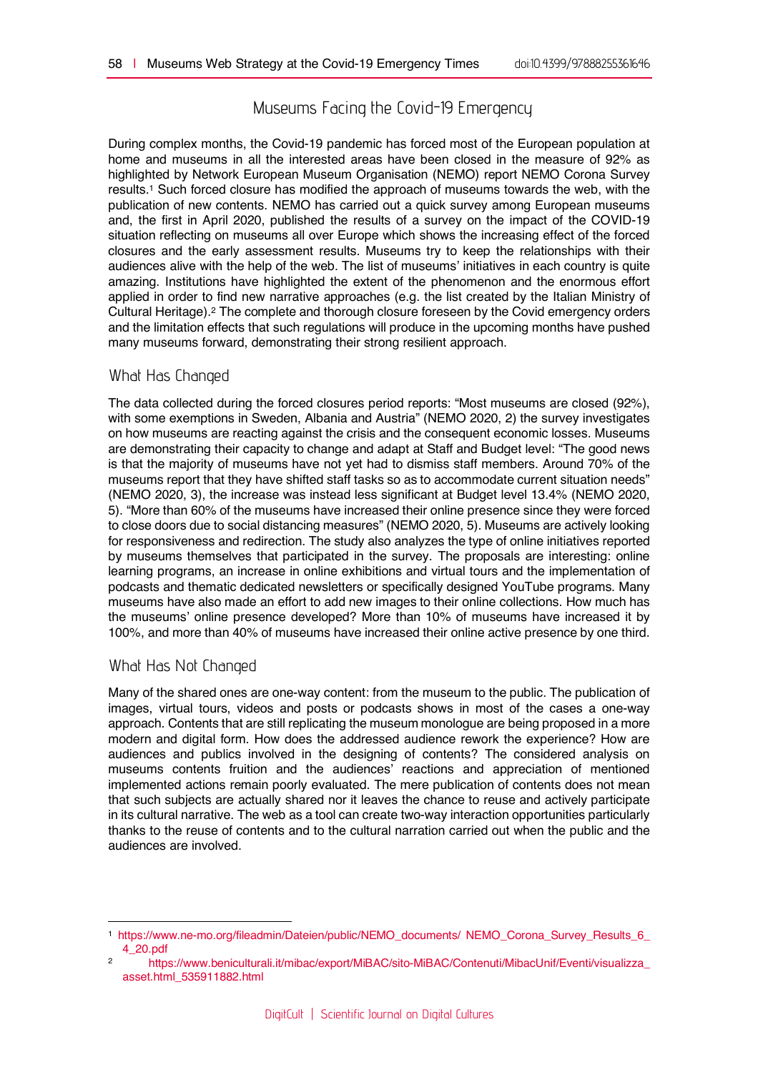# Museums Facing the Covid-19 Emergency

During complex months, the Covid-19 pandemic has forced most of the European population at home and museums in all the interested areas have been closed in the measure of 92% as highlighted by Network European Museum Organisation (NEMO) report NEMO Corona Survey results.1 Such forced closure has modified the approach of museums towards the web, with the publication of new contents. NEMO has carried out a quick survey among European museums and, the first in April 2020, published the results of a survey on the impact of the COVID-19 situation reflecting on museums all over Europe which shows the increasing effect of the forced closures and the early assessment results. Museums try to keep the relationships with their audiences alive with the help of the web. The list of museums' initiatives in each country is quite amazing. Institutions have highlighted the extent of the phenomenon and the enormous effort applied in order to find new narrative approaches (e.g. the list created by the Italian Ministry of Cultural Heritage).2 The complete and thorough closure foreseen by the Covid emergency orders and the limitation effects that such regulations will produce in the upcoming months have pushed many museums forward, demonstrating their strong resilient approach.

#### What Has Changed

The data collected during the forced closures period reports: "Most museums are closed (92%), with some exemptions in Sweden, Albania and Austria" (NEMO 2020, 2) the survey investigates on how museums are reacting against the crisis and the consequent economic losses. Museums are demonstrating their capacity to change and adapt at Staff and Budget level: "The good news is that the majority of museums have not yet had to dismiss staff members. Around 70% of the museums report that they have shifted staff tasks so as to accommodate current situation needs" (NEMO 2020, 3), the increase was instead less significant at Budget level 13.4% (NEMO 2020, 5). "More than 60% of the museums have increased their online presence since they were forced to close doors due to social distancing measures" (NEMO 2020, 5). Museums are actively looking for responsiveness and redirection. The study also analyzes the type of online initiatives reported by museums themselves that participated in the survey. The proposals are interesting: online learning programs, an increase in online exhibitions and virtual tours and the implementation of podcasts and thematic dedicated newsletters or specifically designed YouTube programs. Many museums have also made an effort to add new images to their online collections. How much has the museums' online presence developed? More than 10% of museums have increased it by 100%, and more than 40% of museums have increased their online active presence by one third.

#### What Has Not Changed

 $\overline{a}$ 

Many of the shared ones are one-way content: from the museum to the public. The publication of images, virtual tours, videos and posts or podcasts shows in most of the cases a one-way approach. Contents that are still replicating the museum monologue are being proposed in a more modern and digital form. How does the addressed audience rework the experience? How are audiences and publics involved in the designing of contents? The considered analysis on museums contents fruition and the audiences' reactions and appreciation of mentioned implemented actions remain poorly evaluated. The mere publication of contents does not mean that such subjects are actually shared nor it leaves the chance to reuse and actively participate in its cultural narrative. The web as a tool can create two-way interaction opportunities particularly thanks to the reuse of contents and to the cultural narration carried out when the public and the audiences are involved.

<sup>1</sup> https://www.ne-mo.org/fileadmin/Dateien/public/NEMO\_documents/ NEMO\_Corona\_Survey\_Results\_6\_ 4\_20.pdf

<sup>2</sup> https://www.beniculturali.it/mibac/export/MiBAC/sito-MiBAC/Contenuti/MibacUnif/Eventi/visualizza\_ asset.html\_535911882.html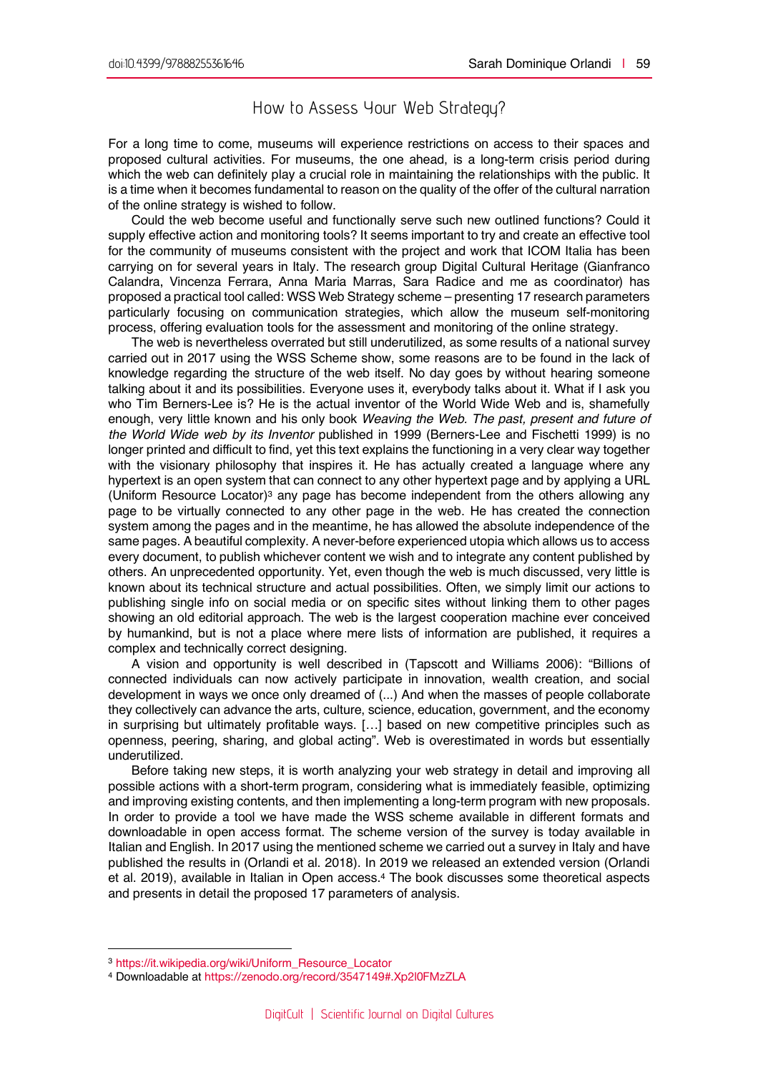# How to Assess Your Web Strategy?

For a long time to come, museums will experience restrictions on access to their spaces and proposed cultural activities. For museums, the one ahead, is a long-term crisis period during which the web can definitely play a crucial role in maintaining the relationships with the public. It is a time when it becomes fundamental to reason on the quality of the offer of the cultural narration of the online strategy is wished to follow.

Could the web become useful and functionally serve such new outlined functions? Could it supply effective action and monitoring tools? It seems important to try and create an effective tool for the community of museums consistent with the project and work that ICOM Italia has been carrying on for several years in Italy. The research group Digital Cultural Heritage (Gianfranco Calandra, Vincenza Ferrara, Anna Maria Marras, Sara Radice and me as coordinator) has proposed a practical tool called: WSS Web Strategy scheme – presenting 17 research parameters particularly focusing on communication strategies, which allow the museum self-monitoring process, offering evaluation tools for the assessment and monitoring of the online strategy.

The web is nevertheless overrated but still underutilized, as some results of a national survey carried out in 2017 using the WSS Scheme show, some reasons are to be found in the lack of knowledge regarding the structure of the web itself. No day goes by without hearing someone talking about it and its possibilities. Everyone uses it, everybody talks about it. What if I ask you who Tim Berners-Lee is? He is the actual inventor of the World Wide Web and is, shamefully enough, very little known and his only book *Weaving the Web. The past, present and future of the World Wide web by its Inventor* published in 1999 (Berners-Lee and Fischetti 1999) is no longer printed and difficult to find, yet this text explains the functioning in a very clear way together with the visionary philosophy that inspires it. He has actually created a language where any hypertext is an open system that can connect to any other hypertext page and by applying a URL (Uniform Resource Locator)<sup>3</sup> any page has become independent from the others allowing any page to be virtually connected to any other page in the web. He has created the connection system among the pages and in the meantime, he has allowed the absolute independence of the same pages. A beautiful complexity. A never-before experienced utopia which allows us to access every document, to publish whichever content we wish and to integrate any content published by others. An unprecedented opportunity. Yet, even though the web is much discussed, very little is known about its technical structure and actual possibilities. Often, we simply limit our actions to publishing single info on social media or on specific sites without linking them to other pages showing an old editorial approach. The web is the largest cooperation machine ever conceived by humankind, but is not a place where mere lists of information are published, it requires a complex and technically correct designing.

A vision and opportunity is well described in (Tapscott and Williams 2006): "Billions of connected individuals can now actively participate in innovation, wealth creation, and social development in ways we once only dreamed of (...) And when the masses of people collaborate they collectively can advance the arts, culture, science, education, government, and the economy in surprising but ultimately profitable ways. […] based on new competitive principles such as openness, peering, sharing, and global acting". Web is overestimated in words but essentially underutilized.

Before taking new steps, it is worth analyzing your web strategy in detail and improving all possible actions with a short-term program, considering what is immediately feasible, optimizing and improving existing contents, and then implementing a long-term program with new proposals. In order to provide a tool we have made the WSS scheme available in different formats and downloadable in open access format. The scheme version of the survey is today available in Italian and English. In 2017 using the mentioned scheme we carried out a survey in Italy and have published the results in (Orlandi et al. 2018). In 2019 we released an extended version (Orlandi et al. 2019), available in Italian in Open access.4 The book discusses some theoretical aspects and presents in detail the proposed 17 parameters of analysis.

 $\overline{a}$ 

<sup>3</sup> https://it.wikipedia.org/wiki/Uniform\_Resource\_Locator

<sup>4</sup> Downloadable at https://zenodo.org/record/3547149#.Xp2l0FMzZLA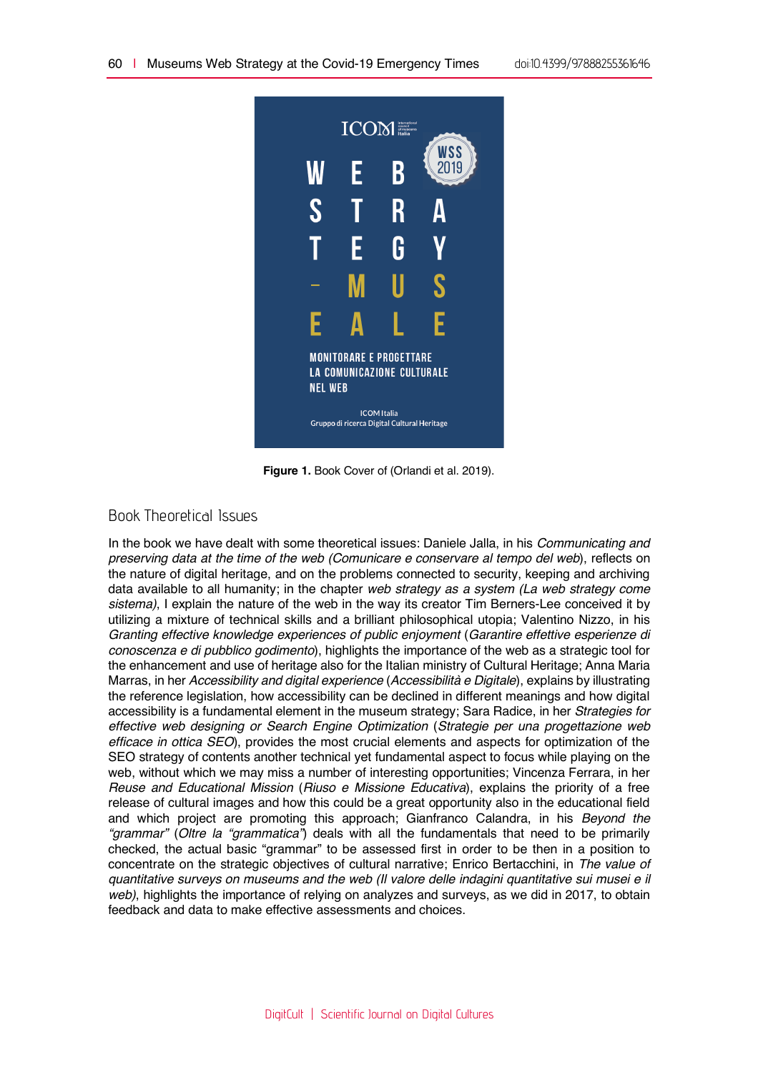

**Figure 1.** Book Cover of (Orlandi et al. 2019).

## Book Theoretical Issues

In the book we have dealt with some theoretical issues: Daniele Jalla, in his *Communicating and preserving data at the time of the web (Comunicare e conservare al tempo del web*), reflects on the nature of digital heritage, and on the problems connected to security, keeping and archiving data available to all humanity; in the chapter *web strategy as a system (La web strategy come sistema)*, I explain the nature of the web in the way its creator Tim Berners-Lee conceived it by utilizing a mixture of technical skills and a brilliant philosophical utopia; Valentino Nizzo, in his *Granting effective knowledge experiences of public enjoyment* (*Garantire effettive esperienze di conoscenza e di pubblico godimento*), highlights the importance of the web as a strategic tool for the enhancement and use of heritage also for the Italian ministry of Cultural Heritage; Anna Maria Marras, in her *Accessibility and digital experience* (*Accessibilità e Digitale*), explains by illustrating the reference legislation, how accessibility can be declined in different meanings and how digital accessibility is a fundamental element in the museum strategy; Sara Radice, in her *Strategies for effective web designing or Search Engine Optimization* (*Strategie per una progettazione web efficace in ottica SEO*), provides the most crucial elements and aspects for optimization of the SEO strategy of contents another technical yet fundamental aspect to focus while playing on the web, without which we may miss a number of interesting opportunities; Vincenza Ferrara, in her *Reuse and Educational Mission* (*Riuso e Missione Educativa*), explains the priority of a free release of cultural images and how this could be a great opportunity also in the educational field and which project are promoting this approach; Gianfranco Calandra, in his *Beyond the "grammar"* (*Oltre la "grammatica"*) deals with all the fundamentals that need to be primarily checked, the actual basic "grammar" to be assessed first in order to be then in a position to concentrate on the strategic objectives of cultural narrative; Enrico Bertacchini, in *The value of quantitative surveys on museums and the web (Il valore delle indagini quantitative sui musei e il web)*, highlights the importance of relying on analyzes and surveys, as we did in 2017, to obtain feedback and data to make effective assessments and choices.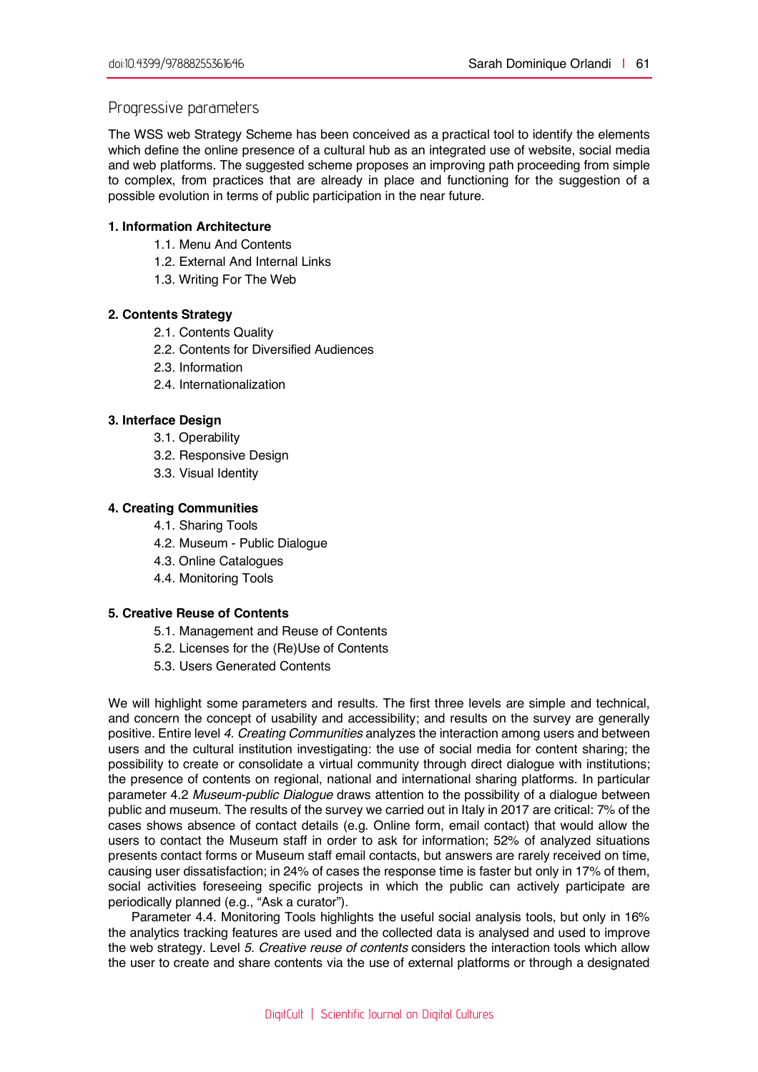#### Progressive parameters

The WSS web Strategy Scheme has been conceived as a practical tool to identify the elements which define the online presence of a cultural hub as an integrated use of website, social media and web platforms. The suggested scheme proposes an improving path proceeding from simple to complex, from practices that are already in place and functioning for the suggestion of a possible evolution in terms of public participation in the near future.

#### **1. Information Architecture**

- 1.1. Menu And Contents
- 1.2. External And Internal Links
- 1.3. Writing For The Web

#### **2. Contents Strategy**

- 2.1. Contents Quality
- 2.2. Contents for Diversified Audiences
- 2.3. Information
- 2.4. Internationalization

#### **3. Interface Design**

- 3.1. Operability
- 3.2. Responsive Design
- 3.3. Visual Identity

#### **4. Creating Communities**

- 4.1. Sharing Tools
- 4.2. Museum Public Dialogue
- 4.3. Online Catalogues
- 4.4. Monitoring Tools

#### **5. Creative Reuse of Contents**

- 5.1. Management and Reuse of Contents
- 5.2. Licenses for the (Re)Use of Contents
- 5.3. Users Generated Contents

We will highlight some parameters and results. The first three levels are simple and technical, and concern the concept of usability and accessibility; and results on the survey are generally positive. Entire level *4. Creating Communities* analyzes the interaction among users and between users and the cultural institution investigating: the use of social media for content sharing; the possibility to create or consolidate a virtual community through direct dialogue with institutions; the presence of contents on regional, national and international sharing platforms. In particular parameter 4.2 *Museum-public Dialogue* draws attention to the possibility of a dialogue between public and museum. The results of the survey we carried out in Italy in 2017 are critical: 7% of the cases shows absence of contact details (e.g. Online form, email contact) that would allow the users to contact the Museum staff in order to ask for information; 52% of analyzed situations presents contact forms or Museum staff email contacts, but answers are rarely received on time, causing user dissatisfaction; in 24% of cases the response time is faster but only in 17% of them, social activities foreseeing specific projects in which the public can actively participate are periodically planned (e.g., "Ask a curator").

Parameter 4.4. Monitoring Tools highlights the useful social analysis tools, but only in 16% the analytics tracking features are used and the collected data is analysed and used to improve the web strategy. Level *5. Creative reuse of contents* considers the interaction tools which allow the user to create and share contents via the use of external platforms or through a designated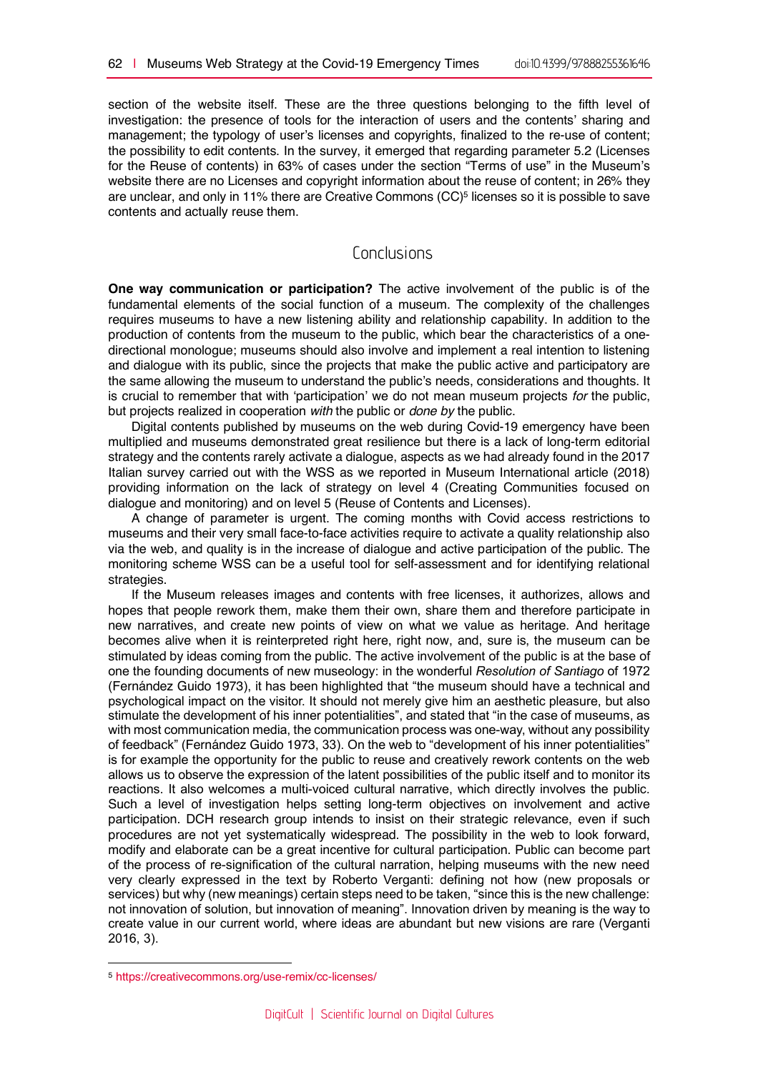section of the website itself. These are the three questions belonging to the fifth level of investigation: the presence of tools for the interaction of users and the contents' sharing and management; the typology of user's licenses and copyrights, finalized to the re-use of content; the possibility to edit contents. In the survey, it emerged that regarding parameter 5.2 (Licenses for the Reuse of contents) in 63% of cases under the section "Terms of use" in the Museum's website there are no Licenses and copyright information about the reuse of content; in 26% they are unclear, and only in 11% there are Creative Commons (CC)5 licenses so it is possible to save contents and actually reuse them.

### Conclusions

**One way communication or participation?** The active involvement of the public is of the fundamental elements of the social function of a museum. The complexity of the challenges requires museums to have a new listening ability and relationship capability. In addition to the production of contents from the museum to the public, which bear the characteristics of a onedirectional monologue; museums should also involve and implement a real intention to listening and dialogue with its public, since the projects that make the public active and participatory are the same allowing the museum to understand the public's needs, considerations and thoughts. It is crucial to remember that with 'participation' we do not mean museum projects *for* the public, but projects realized in cooperation *with* the public or *done by* the public.

Digital contents published by museums on the web during Covid-19 emergency have been multiplied and museums demonstrated great resilience but there is a lack of long-term editorial strategy and the contents rarely activate a dialogue, aspects as we had already found in the 2017 Italian survey carried out with the WSS as we reported in Museum International article (2018) providing information on the lack of strategy on level 4 (Creating Communities focused on dialogue and monitoring) and on level 5 (Reuse of Contents and Licenses).

A change of parameter is urgent. The coming months with Covid access restrictions to museums and their very small face-to-face activities require to activate a quality relationship also via the web, and quality is in the increase of dialogue and active participation of the public. The monitoring scheme WSS can be a useful tool for self-assessment and for identifying relational strategies.

If the Museum releases images and contents with free licenses, it authorizes, allows and hopes that people rework them, make them their own, share them and therefore participate in new narratives, and create new points of view on what we value as heritage. And heritage becomes alive when it is reinterpreted right here, right now, and, sure is, the museum can be stimulated by ideas coming from the public. The active involvement of the public is at the base of one the founding documents of new museology: in the wonderful *Resolution of Santiago* of 1972 (Fernández Guido 1973), it has been highlighted that "the museum should have a technical and psychological impact on the visitor. It should not merely give him an aesthetic pleasure, but also stimulate the development of his inner potentialities", and stated that "in the case of museums, as with most communication media, the communication process was one-way, without any possibility of feedback" (Fernández Guido 1973, 33). On the web to "development of his inner potentialities" is for example the opportunity for the public to reuse and creatively rework contents on the web allows us to observe the expression of the latent possibilities of the public itself and to monitor its reactions. It also welcomes a multi-voiced cultural narrative, which directly involves the public. Such a level of investigation helps setting long-term objectives on involvement and active participation. DCH research group intends to insist on their strategic relevance, even if such procedures are not yet systematically widespread. The possibility in the web to look forward, modify and elaborate can be a great incentive for cultural participation. Public can become part of the process of re-signification of the cultural narration, helping museums with the new need very clearly expressed in the text by Roberto Verganti: defining not how (new proposals or services) but why (new meanings) certain steps need to be taken, "since this is the new challenge: not innovation of solution, but innovation of meaning". Innovation driven by meaning is the way to create value in our current world, where ideas are abundant but new visions are rare (Verganti 2016, 3).

 $\overline{a}$ 

<sup>5</sup> https://creativecommons.org/use-remix/cc-licenses/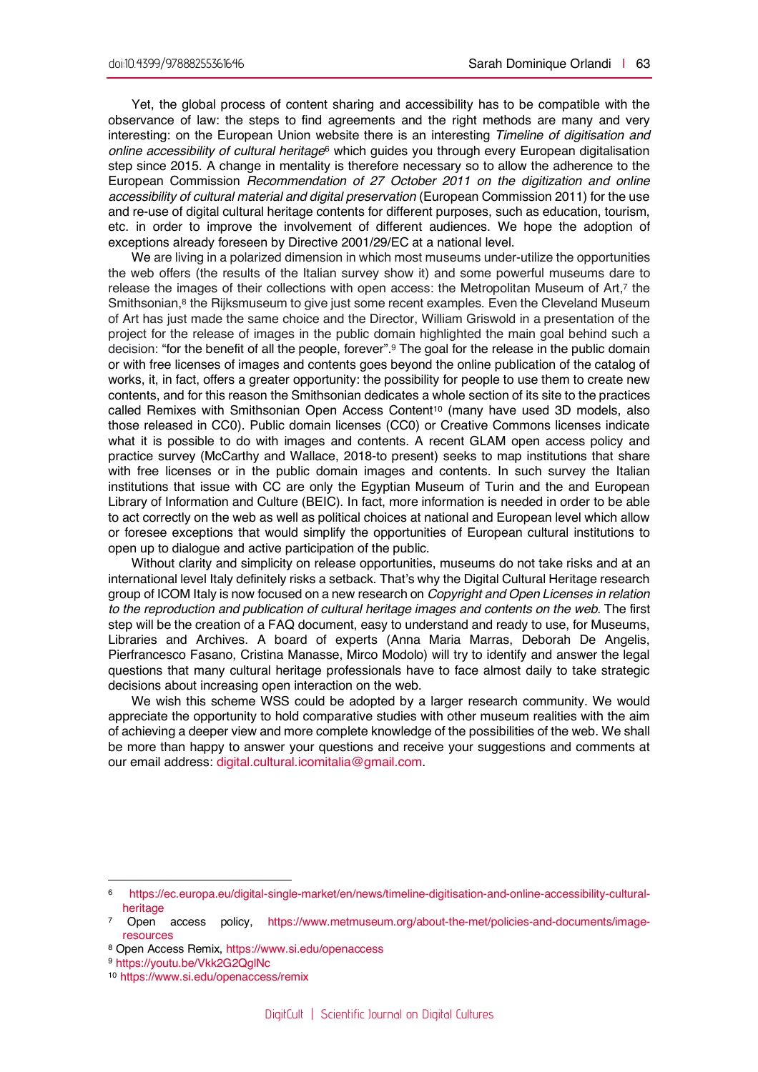Yet, the global process of content sharing and accessibility has to be compatible with the observance of law: the steps to find agreements and the right methods are many and very interesting: on the European Union website there is an interesting *Timeline of digitisation and online accessibility of cultural heritage*<sup>6</sup> which guides you through every European digitalisation step since 2015. A change in mentality is therefore necessary so to allow the adherence to the European Commission *Recommendation of 27 October 2011 on the digitization and online accessibility of cultural material and digital preservation* (European Commission 2011) for the use and re-use of digital cultural heritage contents for different purposes, such as education, tourism, etc. in order to improve the involvement of different audiences. We hope the adoption of exceptions already foreseen by Directive 2001/29/EC at a national level.

We are living in a polarized dimension in which most museums under-utilize the opportunities the web offers (the results of the Italian survey show it) and some powerful museums dare to release the images of their collections with open access: the Metropolitan Museum of Art,7 the Smithsonian,<sup>8</sup> the Rijksmuseum to give just some recent examples. Even the Cleveland Museum of Art has just made the same choice and the Director, William Griswold in a presentation of the project for the release of images in the public domain highlighted the main goal behind such a decision: "for the benefit of all the people, forever".9 The goal for the release in the public domain or with free licenses of images and contents goes beyond the online publication of the catalog of works, it, in fact, offers a greater opportunity: the possibility for people to use them to create new contents, and for this reason the Smithsonian dedicates a whole section of its site to the practices called Remixes with Smithsonian Open Access Content<sup>10</sup> (many have used 3D models, also those released in CC0). Public domain licenses (CC0) or Creative Commons licenses indicate what it is possible to do with images and contents. A recent GLAM open access policy and practice survey (McCarthy and Wallace, 2018-to present) seeks to map institutions that share with free licenses or in the public domain images and contents. In such survey the Italian institutions that issue with CC are only the Egyptian Museum of Turin and the and European Library of Information and Culture (BEIC). In fact, more information is needed in order to be able to act correctly on the web as well as political choices at national and European level which allow or foresee exceptions that would simplify the opportunities of European cultural institutions to open up to dialogue and active participation of the public.

Without clarity and simplicity on release opportunities, museums do not take risks and at an international level Italy definitely risks a setback. That's why the Digital Cultural Heritage research group of ICOM Italy is now focused on a new research on *Copyright and Open Licenses in relation to the reproduction and publication of cultural heritage images and contents on the web*. The first step will be the creation of a FAQ document, easy to understand and ready to use, for Museums, Libraries and Archives. A board of experts (Anna Maria Marras, Deborah De Angelis, Pierfrancesco Fasano, Cristina Manasse, Mirco Modolo) will try to identify and answer the legal questions that many cultural heritage professionals have to face almost daily to take strategic decisions about increasing open interaction on the web.

We wish this scheme WSS could be adopted by a larger research community. We would appreciate the opportunity to hold comparative studies with other museum realities with the aim of achieving a deeper view and more complete knowledge of the possibilities of the web. We shall be more than happy to answer your questions and receive your suggestions and comments at our email address: digital.cultural.icomitalia@gmail.com.

 $\overline{a}$ 

<sup>6</sup> https://ec.europa.eu/digital-single-market/en/news/timeline-digitisation-and-online-accessibility-culturalheritage

<sup>7</sup> Open access policy, https://www.metmuseum.org/about-the-met/policies-and-documents/imageresources

<sup>8</sup> Open Access Remix, https://www.si.edu/openaccess

<sup>9</sup> https://youtu.be/Vkk2G2QglNc

<sup>10</sup> https://www.si.edu/openaccess/remix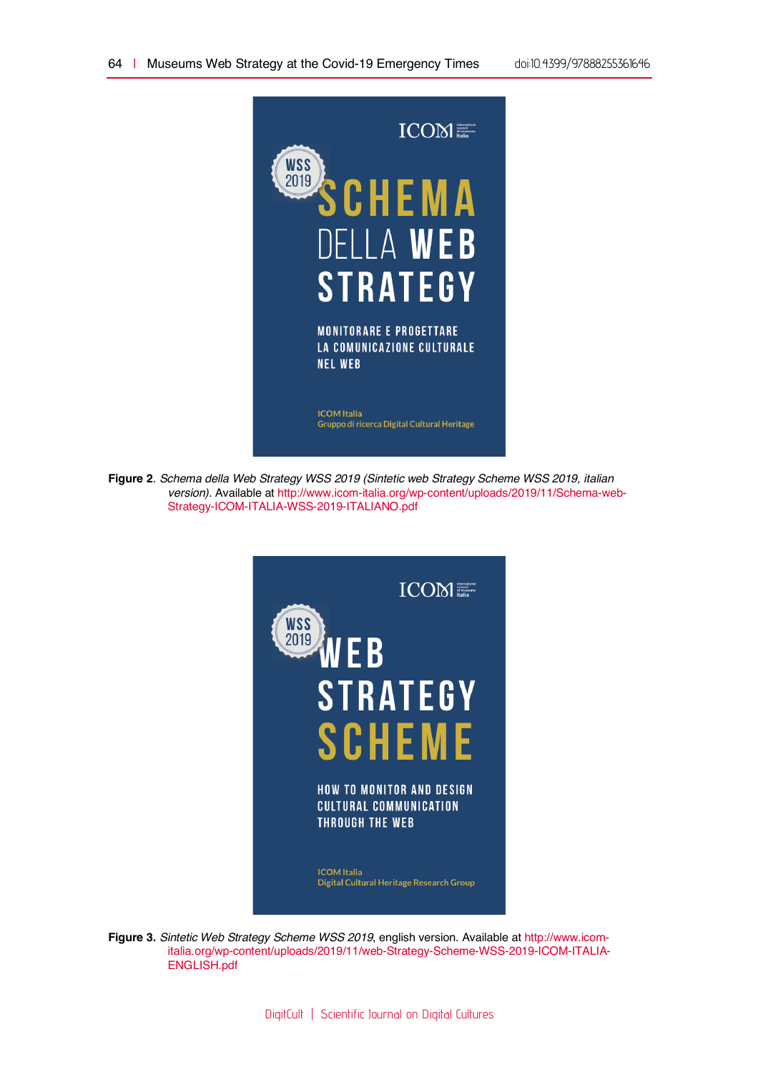

**Figure 2**. *Schema della Web Strategy WSS 2019 (Sintetic web Strategy Scheme WSS 2019, italian version)*. Available at http://www.icom-italia.org/wp-content/uploads/2019/11/Schema-web-Strategy-ICOM-ITALIA-WSS-2019-ITALIANO.pdf



**Figure 3.** *Sintetic Web Strategy Scheme WSS 2019*, english version. Available at http://www.icomitalia.org/wp-content/uploads/2019/11/web-Strategy-Scheme-WSS-2019-ICOM-ITALIA-ENGLISH.pdf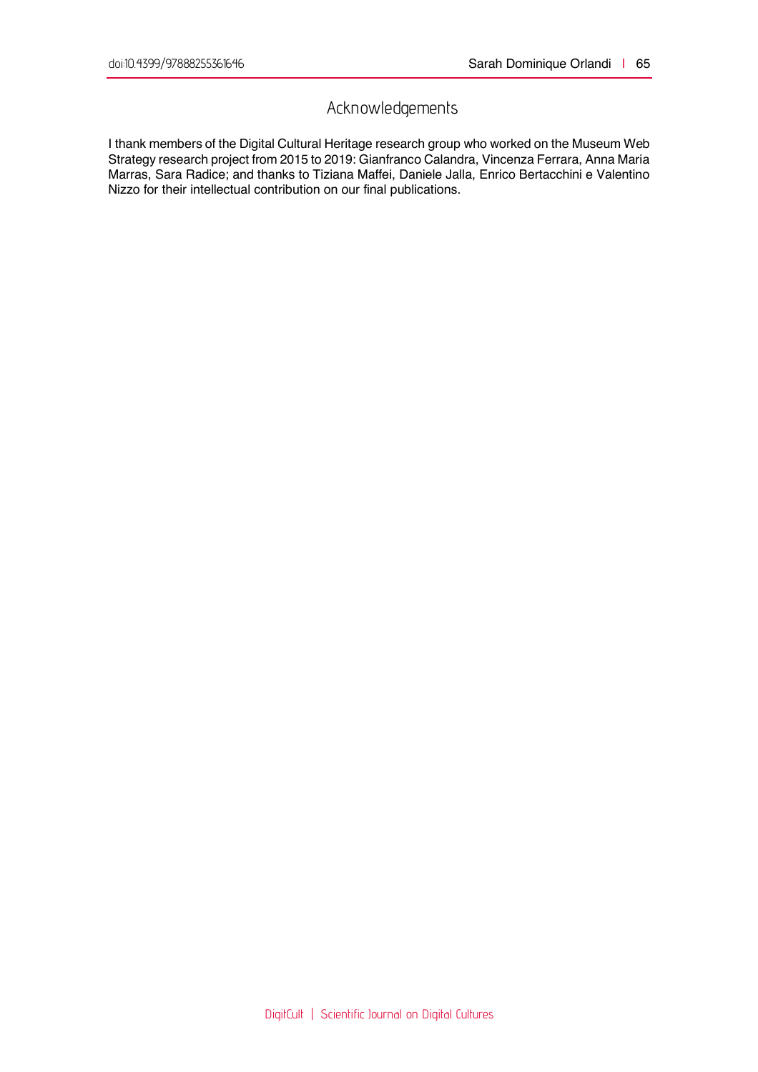# Acknowledgements

I thank members of the Digital Cultural Heritage research group who worked on the Museum Web Strategy research project from 2015 to 2019: Gianfranco Calandra, Vincenza Ferrara, Anna Maria Marras, Sara Radice; and thanks to Tiziana Maffei, Daniele Jalla, Enrico Bertacchini e Valentino Nizzo for their intellectual contribution on our final publications.